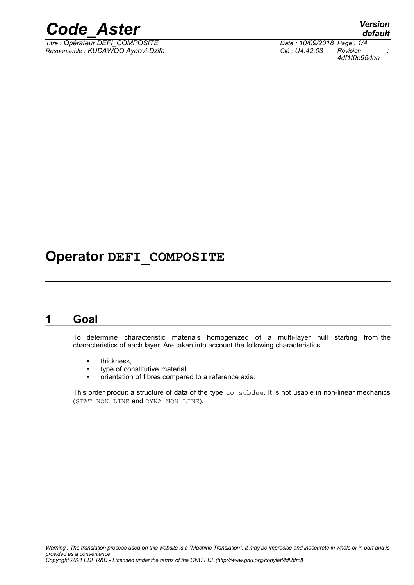

*Titre : Opérateur DEFI\_COMPOSITE Date : 10/09/2018 Page : 1/4 Responsable : KUDAWOO Ayaovi-Dzifa Clé : U4.42.03 Révision :*

*default 4df1f0e95daa*

## **Operator DEFI\_COMPOSITE**

### **1 Goal**

To determine characteristic materials homogenized of a multi-layer hull starting from the characteristics of each layer. Are taken into account the following characteristics:

- thickness,
- type of constitutive material,
- orientation of fibres compared to a reference axis.

This order produit a structure of data of the type to subdue. It is not usable in non-linear mechanics (STAT\_NON\_LINE and DYNA\_NON\_LINE).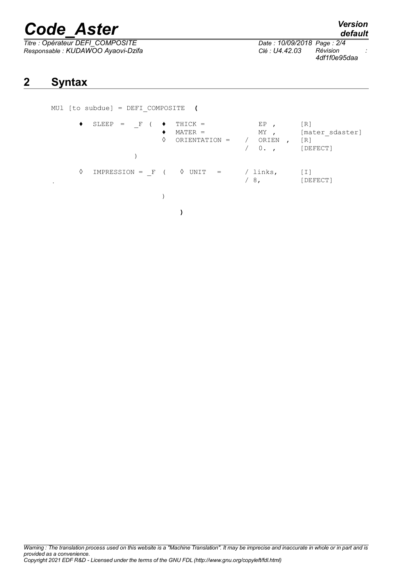# *Code\_Aster Version*

**2 Syntax**

*Titre : Opérateur DEFI\_COMPOSITE Date : 10/09/2018 Page : 2/4 Responsable : KUDAWOO Ayaovi-Dzifa Clé : U4.42.03 Révision :*

*4df1f0e95daa*

MUl [to subdue] = DEFI\_COMPOSITE **(**

| ٠              | $SLEEP = F$        | $THICK =$<br>$MATER =$<br>♦<br>ORIENTATION = | EP<br>MY<br>ORIEN<br>$0.$ , | [R]<br>[mater sdaster]<br>[R]<br>[DEFECT] |
|----------------|--------------------|----------------------------------------------|-----------------------------|-------------------------------------------|
| ♦<br>$\bullet$ | $IMPRESSION = F$ ( | $\Diamond$ UNIT =                            | ' links,<br>$-8,$           | [I]<br>[DEFECT]                           |
|                |                    |                                              |                             |                                           |

**)**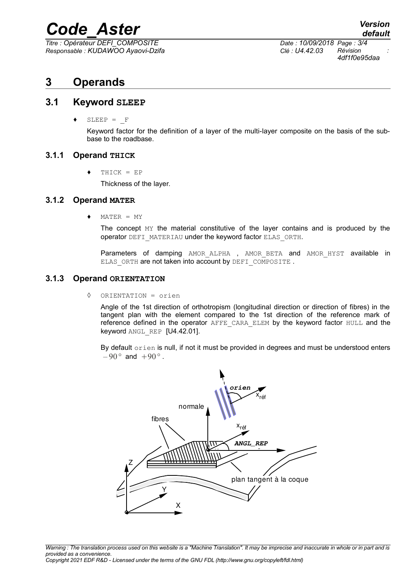## *Code\_Aster Version*

*Titre : Opérateur DEFI\_COMPOSITE Date : 10/09/2018 Page : 3/4 Responsable : KUDAWOO Ayaovi-Dzifa Clé : U4.42.03 Révision :*

*4df1f0e95daa*

## **3 Operands**

#### **3.1 Keyword SLEEP**

 $SLEEP = F$ 

Keyword factor for the definition of a layer of the multi-layer composite on the basis of the subbase to the roadbase.

#### **3.1.1 Operand THICK**

 $THICK = EP$ 

Thickness of the layer.

#### **3.1.2 Operand MATER**

 $MATER = MY$ 

The concept MY the material constitutive of the layer contains and is produced by the operator DEFI\_MATERIAU under the keyword factor ELAS\_ORTH.

Parameters of damping AMOR ALPHA, AMOR BETA and AMOR HYST available in ELAS ORTH are not taken into account by DEFI COMPOSITE .

#### **3.1.3 Operand ORIENTATION**

◊ ORIENTATION = orien

Angle of the 1st direction of orthotropism (longitudinal direction or direction of fibres) in the tangent plan with the element compared to the 1st direction of the reference mark of reference defined in the operator AFFE\_CARA\_ELEM by the keyword factor HULL and the keyword ANGL\_REP [U4.42.01].

By default orien is null, if not it must be provided in degrees and must be understood enters  $-90^{\circ}$  and  $+90^{\circ}$ .